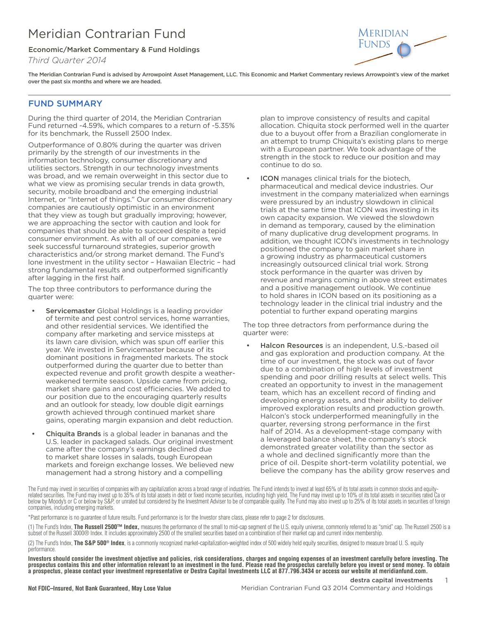# Meridian Contrarian Fund

## Economic/Market Commentary & Fund Holdings

*Third Quarter 2014*



The Meridian Contrarian Fund is advised by Arrowpoint Asset Management, LLC. This Economic and Market Commentary reviews Arrowpoint's view of the market over the past six months and where we are headed.

# FUND SUMMARY

During the third quarter of 2014, the Meridian Contrarian Fund returned -4.59%, which compares to a return of -5.35% for its benchmark, the Russell 2500 Index.

Outperformance of 0.80% during the quarter was driven primarily by the strength of our investments in the information technology, consumer discretionary and utilities sectors. Strength in our technology investments was broad, and we remain overweight in this sector due to what we view as promising secular trends in data growth, security, mobile broadband and the emerging industrial Internet, or "Internet of things." Our consumer discretionary companies are cautiously optimistic in an environment that they view as tough but gradually improving; however, we are approaching the sector with caution and look for companies that should be able to succeed despite a tepid consumer environment. As with all of our companies, we seek successful turnaround strategies, superior growth characteristics and/or strong market demand. The Fund's lone investment in the utility sector – Hawaiian Electric – had strong fundamental results and outperformed significantly after lagging in the first half.

The top three contributors to performance during the quarter were:

- **Servicemaster** Global Holdings is a leading provider of termite and pest control services, home warranties, and other residential services. We identified the company after marketing and service missteps at its lawn care division, which was spun off earlier this year. We invested in Servicemaster because of its dominant positions in fragmented markets. The stock outperformed during the quarter due to better than expected revenue and profit growth despite a weatherweakened termite season. Upside came from pricing, market share gains and cost efficiencies. We added to our position due to the encouraging quarterly results and an outlook for steady, low double digit earnings growth achieved through continued market share gains, operating margin expansion and debt reduction.
- Chiquita Brands is a global leader in bananas and the U.S. leader in packaged salads. Our original investment came after the company's earnings declined due to market share losses in salads, tough European markets and foreign exchange losses. We believed new management had a strong history and a compelling

plan to improve consistency of results and capital allocation. Chiquita stock performed well in the quarter due to a buyout offer from a Brazilian conglomerate in an attempt to trump Chiquita's existing plans to merge with a European partner. We took advantage of the strength in the stock to reduce our position and may continue to do so.

**ICON** manages clinical trials for the biotech, pharmaceutical and medical device industries. Our investment in the company materialized when earnings were pressured by an industry slowdown in clinical trials at the same time that ICON was investing in its own capacity expansion. We viewed the slowdown in demand as temporary, caused by the elimination of many duplicative drug development programs. In addition, we thought ICON's investments in technology positioned the company to gain market share in a growing industry as pharmaceutical customers increasingly outsourced clinical trial work. Strong stock performance in the quarter was driven by revenue and margins coming in above street estimates and a positive management outlook. We continue to hold shares in ICON based on its positioning as a technology leader in the clinical trial industry and the potential to further expand operating margins

The top three detractors from performance during the quarter were:

Halcon Resources is an independent, U.S.-based oil and gas exploration and production company. At the time of our investment, the stock was out of favor due to a combination of high levels of investment spending and poor drilling results at select wells. This created an opportunity to invest in the management team, which has an excellent record of finding and developing energy assets, and their ability to deliver improved exploration results and production growth. Halcon's stock underperformed meaningfully in the quarter, reversing strong performance in the first half of 2014. As a development-stage company with a leveraged balance sheet, the company's stock demonstrated greater volatility than the sector as a whole and declined significantly more than the price of oil. Despite short-term volatility potential, we believe the company has the ability grow reserves and

The Fund may invest in securities of companies with any capitalization across a broad range of industries. The Fund intends to invest at least 65% of its total assets in common stocks and equityrelated securities. The Fund may invest up to 35% of its total assets in debt or fixed income securities, including high yield. The Fund may invest up to 10% of its total assets in securities rated Ca or below by Moody's or C or below by S&P, or unrated but considered by the Investment Adviser to be of comparable quality. The Fund may also invest up to 25% of its total assets in securities of foreign companies, including emerging markets.

\*Past performance is no guarantee of future results. Fund performance is for the Investor share class, please refer to page 2 for disclosures.

(1) The Fund's Index, **The Russell 2500™ Index,** measures the performance of the small to mid-cap segment of the U.S. equity universe, commonly referred to as "smid" cap. The Russell 2500 is a subset of the Russell 3000® Index. It includes approximately 2500 of the smallest securities based on a combination of their market cap and current index membership.

(2) The Fund's Index, **The S&P 500® Index**, is a commonly recognized market-capitalization-weighted index of 500 widely held equity securities, designed to measure broad U. S. equity performance.

**Investors should consider the investment objective and policies, risk considerations, charges and ongoing expenses of an investment carefully before investing. The prospectus contains this and other information relevant to an investment in the fund. Please read the prospectus carefully before you invest or send money. To obtain a prospectus, please contact your investment representative or Destra Capital Investments LLC at 877.796.3434 or access our website at meridianfund.com.**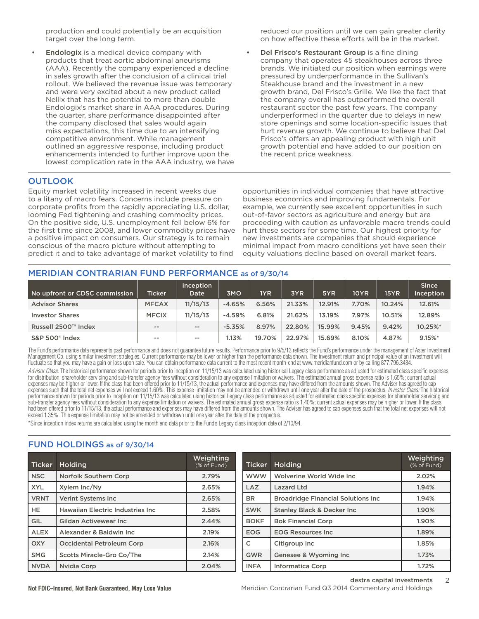production and could potentially be an acquisition target over the long term.

**Endologix** is a medical device company with products that treat aortic abdominal aneurisms (AAA). Recently the company experienced a decline in sales growth after the conclusion of a clinical trial rollout. We believed the revenue issue was temporary and were very excited about a new product called Nellix that has the potential to more than double Endologix's market share in AAA procedures. During the quarter, share performance disappointed after the company disclosed that sales would again miss expectations, this time due to an intensifying competitive environment. While management outlined an aggressive response, including product enhancements intended to further improve upon the lowest complication rate in the AAA industry, we have reduced our position until we can gain greater clarity on how effective these efforts will be in the market.

Del Frisco's Restaurant Group is a fine dining company that operates 45 steakhouses across three brands. We initiated our position when earnings were pressured by underperformance in the Sullivan's Steakhouse brand and the investment in a new growth brand, Del Frisco's Grille. We like the fact that the company overall has outperformed the overall restaurant sector the past few years. The company underperformed in the quarter due to delays in new store openings and some location-specific issues that hurt revenue growth. We continue to believe that Del Frisco's offers an appealing product with high unit growth potential and have added to our position on the recent price weakness.

# **OUTLOOK**

Equity market volatility increased in recent weeks due to a litany of macro fears. Concerns include pressure on corporate profits from the rapidly appreciating U.S. dollar, looming Fed tightening and crashing commodity prices. On the positive side, U.S. unemployment fell below 6% for the first time since 2008, and lower commodity prices have a positive impact on consumers. Our strategy is to remain conscious of the macro picture without attempting to predict it and to take advantage of market volatility to find

opportunities in individual companies that have attractive business economics and improving fundamentals. For example, we currently see excellent opportunities in such out-of-favor sectors as agriculture and energy but are proceeding with caution as unfavorable macro trends could hurt these sectors for some time. Our highest priority for new investments are companies that should experience minimal impact from macro conditions yet have seen their equity valuations decline based on overall market fears.

## MERIDIAN CONTRARIAN FUND PERFORMANCE as of 9/30/14

| No upfront or CDSC commission | <b>Ticker</b>     | Inception<br>Date | 3MO      | 1YR    | 3YR    | 5YR    | <b>10YR</b> | 15YR   | <b>Since</b><br>Inception |
|-------------------------------|-------------------|-------------------|----------|--------|--------|--------|-------------|--------|---------------------------|
| <b>Advisor Shares</b>         | <b>MFCAX</b>      | 11/15/13          | $-4.65%$ | 6.56%  | 21.33% | 12.91% | 7.70%       | 10.24% | 12.61%                    |
| <b>Investor Shares</b>        | <b>MFCIX</b>      | 11/15/13          | $-4.59%$ | 6.81%  | 21.62% | 13.19% | 7.97%       | 10.51% | 12.89%                    |
| Russell 2500™ Index           | $\qquad \qquad -$ | $\sim$ $-$        | $-5.35%$ | 8.97%  | 22.80% | 15.99% | 9.45%       | 9.42%  | 10.25%*                   |
| S&P 500 <sup>®</sup> Index    | $- -$             | $\sim$ $\sim$     | 1.13%    | 19.70% | 22.97% | 15.69% | 8.10%       | 4.87%  | 9.15%                     |

The Fund's performance data represents past performance and does not quarantee future results. Performance prior to 9/5/13 reflects the Fund's performance under the management of Aster Investment Management Co. using similar investment strategies. Current performance may be lower or higher than the performance data shown. The investment return and principal value of an investment will fluctuate so that you may have a gain or loss upon sale. You can obtain performance data current to the most recent month-end at www.meridianfund.com or by calling 877.796.3434.

Advisor Class: The historical performance shown for periods prior to inception on 11/15/13 was calculated using historical Legacy class performance as adjusted for estimated class specific expenses, for distribution, shareholder servicing and sub-transfer agency fees without consideration to any expense limitation or waivers. The estimated annual gross expense ratio is 1.65%; current actual expenses may be higher or lower. If the class had been offered prior to 11/15/13, the actual performance and expenses may have differed from the amounts shown. The Adviser has agreed to cap expenses such that the total net expenses will not exceed 1.60%. This expense limitation may not be amended or withdrawn until one year after the date of the prospectus. *Investor Class:* The historical performance shown for periods prior to inception on 11/15/13 was calculated using historical Legacy class performance as adjusted for estimated class specific expenses for shareholder servicing and sub-transfer agency fees without consideration to any expense limitation or waivers. The estimated annual gross expense ratio is 1.40%; current actual expenses may be higher or lower. If the class had been offered prior to 11/15/13, the actual performance and expenses may have differed from the amounts shown. The Adviser has agreed to cap expenses such that the total net expenses will not exceed 1.35%. This expense limitation may not be amended or withdrawn until one year after the date of the prospectus.

\*Since inception index returns are calculated using the month end data prior to the Fund's Legacy class inception date of 2/10/94.

# FUND HOLDINGS as of 9/30/14

| <b>Ticker</b> | <b>Holding</b>                           | <b>Weighting</b><br>(% of Fund) | <b>Ticker</b> | Holding                                    | <b>Weighting</b><br>(% of Fund) |
|---------------|------------------------------------------|---------------------------------|---------------|--------------------------------------------|---------------------------------|
| <b>NSC</b>    | Norfolk Southern Corp                    | 2.79%                           | <b>WWW</b>    | Wolverine World Wide Inc.                  | 2.02%                           |
| <b>XYL</b>    | Xylem Inc/Ny                             | 2.65%                           | LAZ           | Lazard Ltd                                 | 1.94%                           |
| <b>VRNT</b>   | <b>Verint Systems Inc</b>                | 2.65%                           | <b>BR</b>     | <b>Broadridge Financial Solutions Inc.</b> | 1.94%                           |
| <b>HE</b>     | <b>Hawaiian Electric Industries Inc.</b> | 2.58%                           | <b>SWK</b>    | <b>Stanley Black &amp; Decker Inc.</b>     | 1.90%                           |
| GIL           | Gildan Activewear Inc                    | 2.44%                           | <b>BOKF</b>   | <b>Bok Financial Corp</b>                  | 1.90%                           |
| <b>ALEX</b>   | Alexander & Baldwin Inc.                 | 2.19%                           | <b>EOG</b>    | <b>EOG Resources Inc.</b>                  | 1.89%                           |
| <b>OXY</b>    | <b>Occidental Petroleum Corp</b>         | 2.16%                           | C             | Citigroup Inc                              | 1.85%                           |
| <b>SMG</b>    | <b>Scotts Miracle-Gro Co/The</b>         | 2.14%                           | GWR           | Genesee & Wyoming Inc                      | 1.73%                           |
| <b>NVDA</b>   | Nvidia Corp                              | 2.04%                           | <b>INFA</b>   | <b>Informatica Corp</b>                    | 1.72%                           |